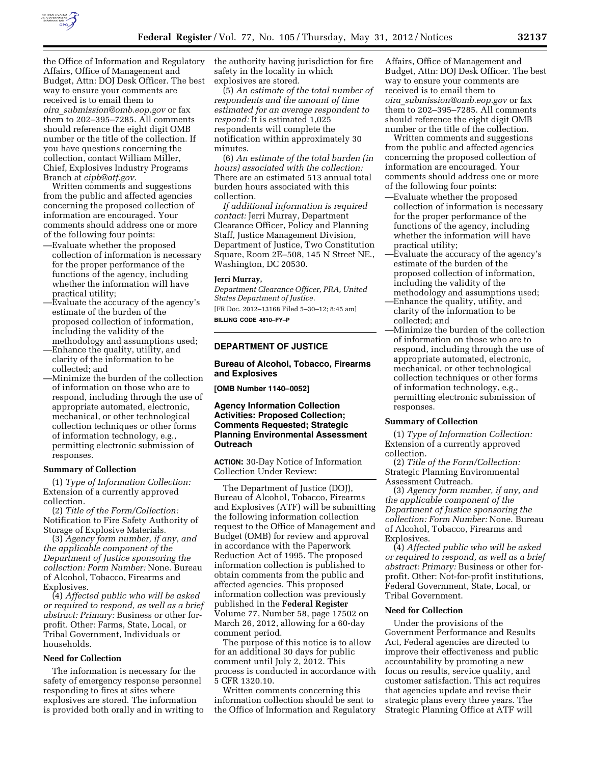

the Office of Information and Regulatory Affairs, Office of Management and Budget, Attn: DOJ Desk Officer. The best way to ensure your comments are received is to email them to *oira*\_*[submission@omb.eop.gov](mailto:oira_submission@omb.eop.gov)* or fax them to 202–395–7285. All comments should reference the eight digit OMB number or the title of the collection. If you have questions concerning the collection, contact William Miller, Chief, Explosives Industry Programs Branch at *[eipb@atf.gov.](mailto:eipb@atf.gov)* 

Written comments and suggestions from the public and affected agencies concerning the proposed collection of information are encouraged. Your comments should address one or more of the following four points:

- —Evaluate whether the proposed collection of information is necessary for the proper performance of the functions of the agency, including whether the information will have practical utility;
- —Evaluate the accuracy of the agency's estimate of the burden of the proposed collection of information, including the validity of the methodology and assumptions used;
- —Enhance the quality, utility, and clarity of the information to be collected; and
- —Minimize the burden of the collection of information on those who are to respond, including through the use of appropriate automated, electronic, mechanical, or other technological collection techniques or other forms of information technology, e.g., permitting electronic submission of responses.

#### **Summary of Collection**

(1) *Type of Information Collection:*  Extension of a currently approved collection.

(2) *Title of the Form/Collection:*  Notification to Fire Safety Authority of Storage of Explosive Materials.

(3) *Agency form number, if any, and the applicable component of the Department of Justice sponsoring the collection: Form Number:* None. Bureau of Alcohol, Tobacco, Firearms and Explosives.

(4) *Affected public who will be asked or required to respond, as well as a brief abstract: Primary:* Business or other forprofit. Other: Farms, State, Local, or Tribal Government, Individuals or households.

# **Need for Collection**

The information is necessary for the safety of emergency response personnel responding to fires at sites where explosives are stored. The information is provided both orally and in writing to the authority having jurisdiction for fire safety in the locality in which explosives are stored.

(5) *An estimate of the total number of respondents and the amount of time estimated for an average respondent to respond:* It is estimated 1,025 respondents will complete the notification within approximately 30 minutes.

(6) *An estimate of the total burden (in hours) associated with the collection:*  There are an estimated 513 annual total burden hours associated with this collection.

*If additional information is required contact:* Jerri Murray, Department Clearance Officer, Policy and Planning Staff, Justice Management Division, Department of Justice, Two Constitution Square, Room 2E–508, 145 N Street NE., Washington, DC 20530.

#### **Jerri Murray,**

*Department Clearance Officer, PRA, United States Department of Justice.*  [FR Doc. 2012–13168 Filed 5–30–12; 8:45 am] **BILLING CODE 4810–FY–P** 

### **DEPARTMENT OF JUSTICE**

**Bureau of Alcohol, Tobacco, Firearms and Explosives** 

**[OMB Number 1140–0052]** 

# **Agency Information Collection Activities: Proposed Collection; Comments Requested; Strategic Planning Environmental Assessment Outreach**

**ACTION:** 30-Day Notice of Information Collection Under Review:

The Department of Justice (DOJ), Bureau of Alcohol, Tobacco, Firearms and Explosives (ATF) will be submitting the following information collection request to the Office of Management and Budget (OMB) for review and approval in accordance with the Paperwork Reduction Act of 1995. The proposed information collection is published to obtain comments from the public and affected agencies. This proposed information collection was previously published in the **Federal Register**  Volume 77, Number 58, page 17502 on March 26, 2012, allowing for a 60-day comment period.

The purpose of this notice is to allow for an additional 30 days for public comment until July 2, 2012. This process is conducted in accordance with 5 CFR 1320.10.

Written comments concerning this information collection should be sent to the Office of Information and Regulatory

Affairs, Office of Management and Budget, Attn: DOJ Desk Officer. The best way to ensure your comments are received is to email them to *oira*\_*[submission@omb.eop.gov](mailto:oira_submission@omb.eop.gov)* or fax them to 202–395–7285. All comments should reference the eight digit OMB number or the title of the collection.

Written comments and suggestions from the public and affected agencies concerning the proposed collection of information are encouraged. Your comments should address one or more of the following four points:

- —Evaluate whether the proposed collection of information is necessary for the proper performance of the functions of the agency, including whether the information will have practical utility;
- —Evaluate the accuracy of the agency's estimate of the burden of the proposed collection of information, including the validity of the methodology and assumptions used; —Enhance the quality, utility, and
- clarity of the information to be collected; and
- —Minimize the burden of the collection of information on those who are to respond, including through the use of appropriate automated, electronic, mechanical, or other technological collection techniques or other forms of information technology, e.g., permitting electronic submission of responses.

#### **Summary of Collection**

(1) *Type of Information Collection:*  Extension of a currently approved collection.

(2) *Title of the Form/Collection:*  Strategic Planning Environmental Assessment Outreach.

(3) *Agency form number, if any, and the applicable component of the Department of Justice sponsoring the collection: Form Number:* None. Bureau of Alcohol, Tobacco, Firearms and Explosives.

(4) *Affected public who will be asked or required to respond, as well as a brief abstract: Primary:* Business or other forprofit. Other: Not-for-profit institutions, Federal Government, State, Local, or Tribal Government.

#### **Need for Collection**

Under the provisions of the Government Performance and Results Act, Federal agencies are directed to improve their effectiveness and public accountability by promoting a new focus on results, service quality, and customer satisfaction. This act requires that agencies update and revise their strategic plans every three years. The Strategic Planning Office at ATF will